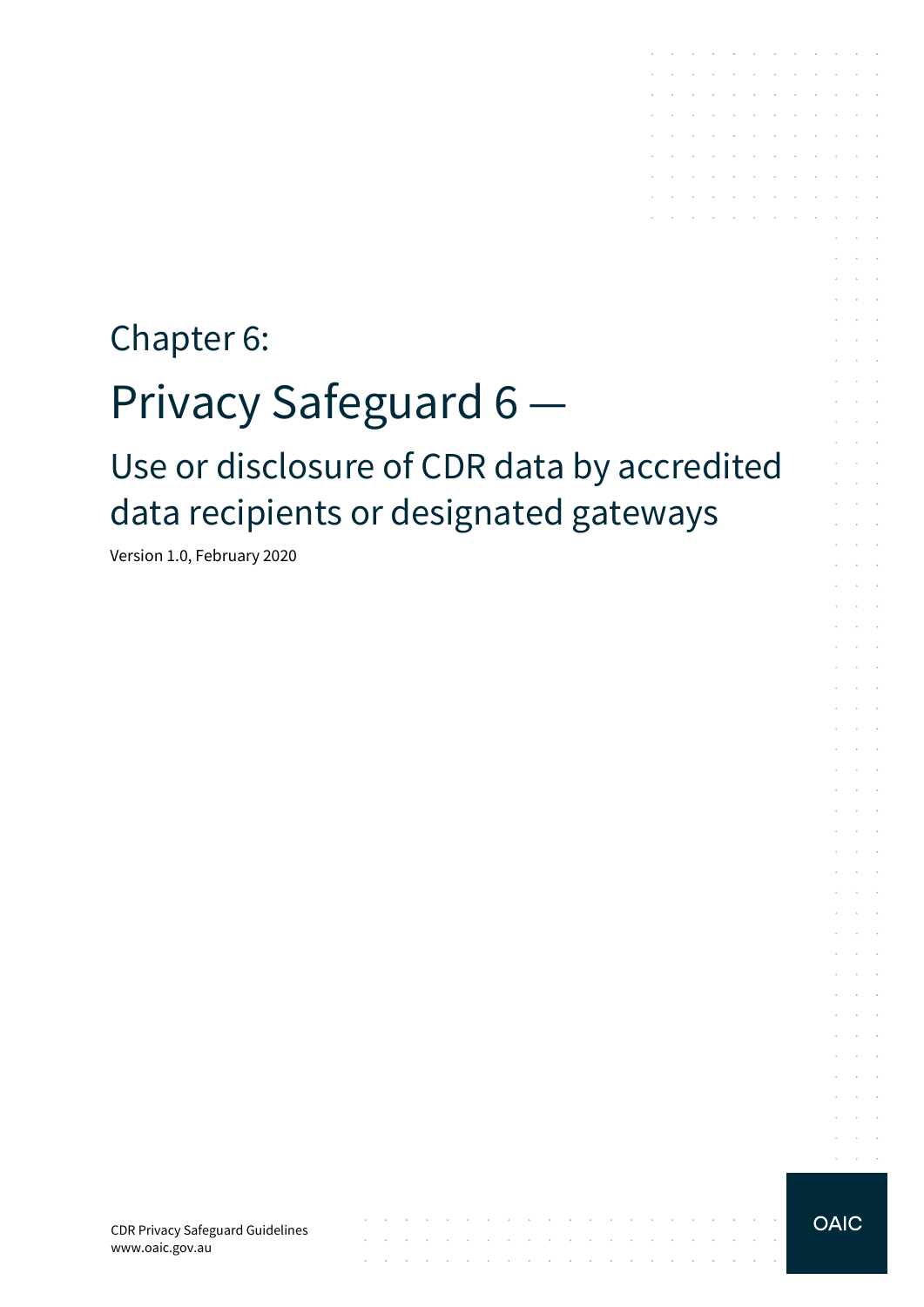# Chapter 6: Privacy Safeguard 6 Use or disclosure of CDR data by accredited data recipients or designated gateways

Version 1.0, February 2020

CDR Privacy Safeguard Guidelines www.oaic.gov.au

**OAIC** 

المناقب والمستنقل والمستنقل والمستنقل والمستنقل والمستنقل والمستنقل والمستنقل والمستنقل

المناقب والمستنقل والمستنقل والمناقب والمستنقل والمستنقل والمستنقل والمستنقل والمستنقل the contract of the contract of the contract of the

 $\mathcal{A}$  . The contribution of the contribution of the contribution of  $\mathcal{A}$ and a series of the series of the series of the  $\mathcal{L}^{\mathcal{A}}$  . The set of the set of the set of the set of the set of  $\mathcal{L}^{\mathcal{A}}$ and a straightful contract and a straight and the company of the company of the company and a series of the control of the control of  $\mathcal{A}$  . The contribution of the contribution of the contribution of  $\mathcal{A}$  $\mathcal{L}^{\mathcal{A}}$  . The contribution of the contribution of the contribution of  $\mathcal{L}^{\mathcal{A}}$ a construction of the construction of

and a state

 $\alpha$  ,  $\beta$  ,  $\alpha$  $\Delta \sim 100$ 

 $\sim 10^{-1}$  .

**Service**  $\mathcal{L}^{\text{max}}$  $\mathcal{L}^{\text{max}}$  and  $\mathcal{L}^{\text{max}}$  $\mathcal{L}^{\text{max}}$  and  $\mathcal{L}^{\text{max}}$ 

> $\sim 10^{-1}$  .  $\sim 10^{-11}$  .

 $\mathcal{L}^{\text{max}}$ and the control

and the control and a state

and a state  $\mathcal{L}^{\text{max}}$  and  $\mathcal{L}^{\text{max}}$ 

and the control and the control

and a state and a state

 $\mathcal{L}^{\text{max}}$  and  $\mathcal{L}^{\text{max}}$ **Service** State

and the control

 $\alpha = \alpha + \beta$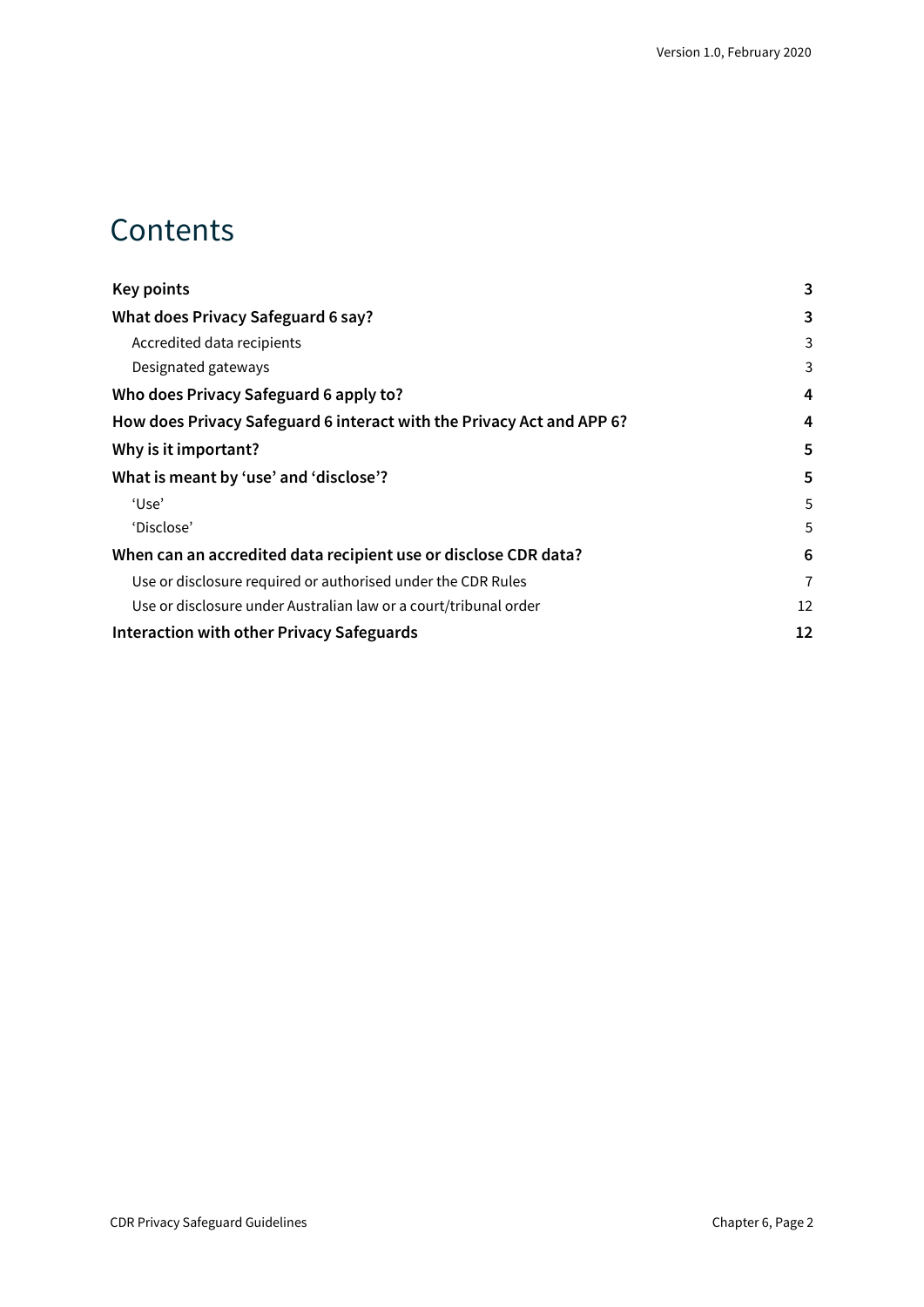## **Contents**

| Key points                                                            | 3  |
|-----------------------------------------------------------------------|----|
| What does Privacy Safeguard 6 say?                                    | 3  |
| Accredited data recipients                                            | 3  |
| Designated gateways                                                   | 3  |
| Who does Privacy Safeguard 6 apply to?                                | 4  |
| How does Privacy Safeguard 6 interact with the Privacy Act and APP 6? | 4  |
| Why is it important?                                                  | 5  |
| What is meant by 'use' and 'disclose'?                                | 5  |
| 'Use'                                                                 | 5  |
| 'Disclose'                                                            | 5  |
| When can an accredited data recipient use or disclose CDR data?       | 6  |
| Use or disclosure required or authorised under the CDR Rules          | 7  |
| Use or disclosure under Australian law or a court/tribunal order      | 12 |
| <b>Interaction with other Privacy Safeguards</b>                      | 12 |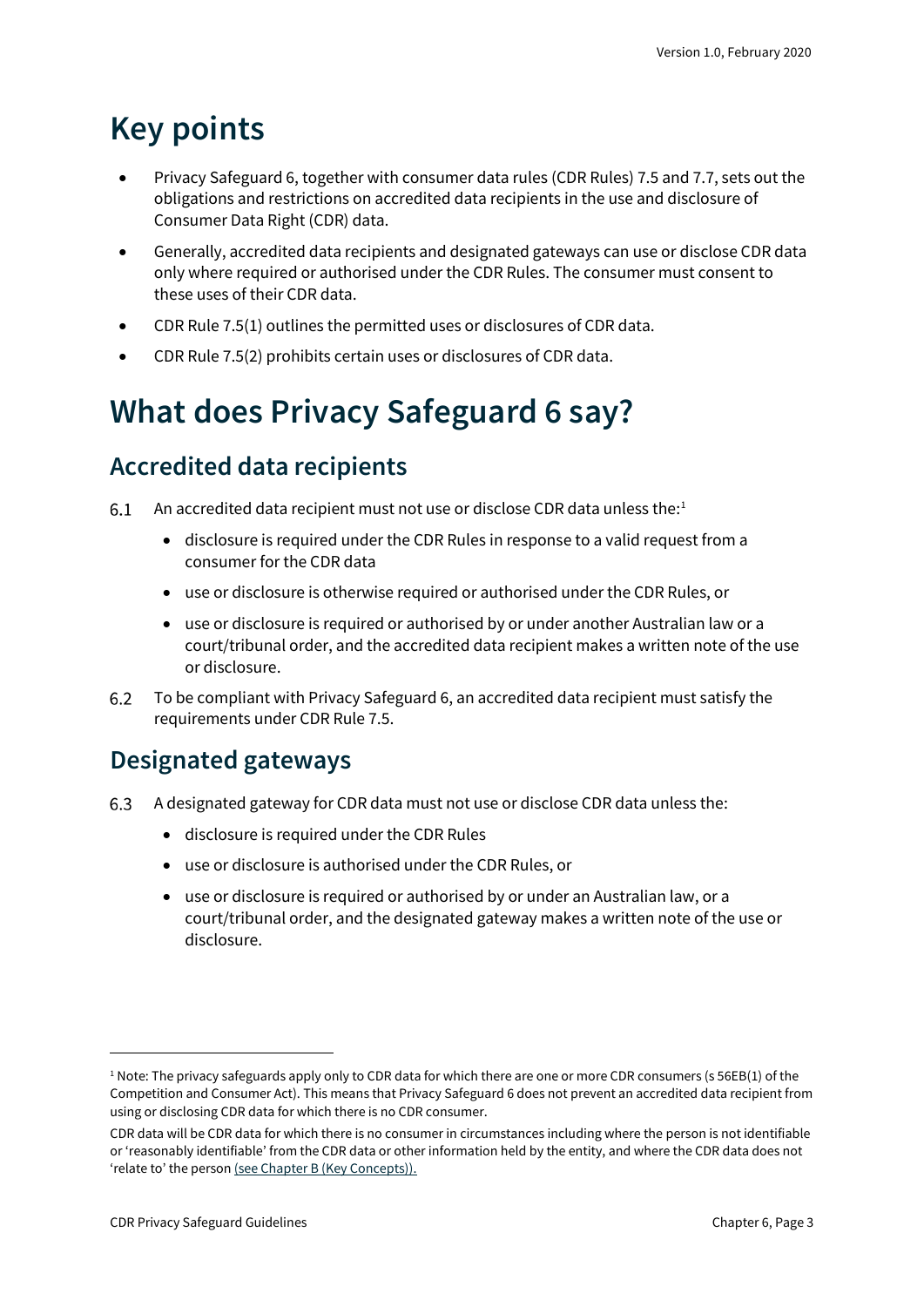## <span id="page-2-0"></span>**Key points**

- Privacy Safeguard 6, together with consumer data rules (CDR Rules) 7.5 and 7.7, sets out the obligations and restrictions on accredited data recipients in the use and disclosure of Consumer Data Right (CDR) data.
- Generally, accredited data recipients and designated gateways can use or disclose CDR data only where required or authorised under the CDR Rules. The consumer must consent to these uses of their CDR data.
- CDR Rule 7.5(1) outlines the permitted uses or disclosures of CDR data.
- CDR Rule 7.5(2) prohibits certain uses or disclosures of CDR data.

## <span id="page-2-1"></span>**What does Privacy Safeguard 6 say?**

### <span id="page-2-2"></span>**Accredited data recipients**

- An accredited data recipient must not use or disclose CDR data unless the: [1](#page-2-4)  $6.1$ 
	- disclosure is required under the CDR Rules in response to a valid request from a consumer for the CDR data
	- use or disclosure is otherwise required or authorised under the CDR Rules, or
	- use or disclosure is required or authorised by or under another Australian law or a court/tribunal order, and the accredited data recipient makes a written note of the use or disclosure.
- To be compliant with Privacy Safeguard 6, an accredited data recipient must satisfy the 6.2 requirements under CDR Rule 7.5.

## <span id="page-2-3"></span>**Designated gateways**

- 6.3 A designated gateway for CDR data must not use or disclose CDR data unless the:
	- disclosure is required under the CDR Rules
	- use or disclosure is authorised under the CDR Rules, or
	- use or disclosure is required or authorised by or under an Australian law, or a court/tribunal order, and the designated gateway makes a written note of the use or disclosure.

<span id="page-2-4"></span><sup>&</sup>lt;sup>1</sup> Note: The privacy safeguards apply only to CDR data for which there are one or more CDR consumers (s 56EB(1) of the Competition and Consumer Act). This means that Privacy Safeguard 6 does not prevent an accredited data recipient from using or disclosing CDR data for which there is no CDR consumer.

CDR data will be CDR data for which there is no consumer in circumstances including where the person is not identifiable or 'reasonably identifiable' from the CDR data or other information held by the entity, and where the CDR data does not 'relate to' the perso[n \(see Chapter B \(Key Concepts\)\).](https://www.oaic.gov.au/consumer-data-right/cdr-privacy-safeguard-guidelines/chapter-b-key-concepts)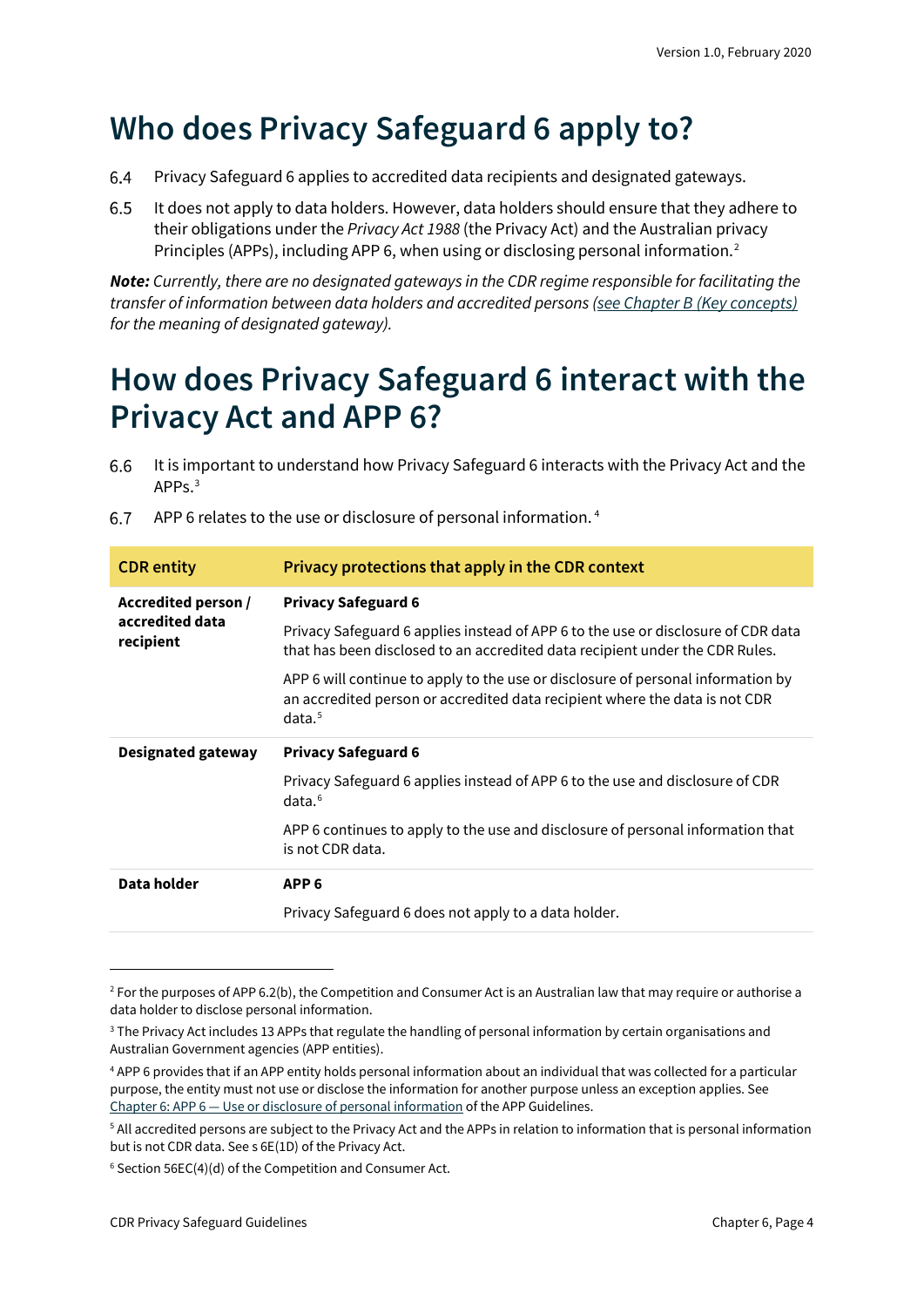## <span id="page-3-0"></span>**Who does Privacy Safeguard 6 apply to?**

- Privacy Safeguard 6 applies to accredited data recipients and designated gateways. 6.4
- 6.5 It does not apply to data holders. However, data holders should ensure that they adhere to their obligations under the *Privacy Act 1988* (the Privacy Act) and the Australian privacy Principles (APPs), including APP 6, when using or disclosing personal information.[2](#page-3-2)

*Note: Currently, there are no designated gateways in the CDR regime responsible for facilitating the transfer of information between data holders and accredited persons [\(see Chapter B \(Key concepts\)](https://www.oaic.gov.au/consumer-data-right/cdr-privacy-safeguard-guidelines/chapter-b-key-concepts) for the meaning of designated gateway).*

## <span id="page-3-1"></span>**How does Privacy Safeguard 6 interact with the Privacy Act and APP 6?**

It is important to understand how Privacy Safeguard 6 interacts with the Privacy Act and the 6.6 APPs.[3](#page-3-3)

| <b>CDR</b> entity                                   | Privacy protections that apply in the CDR context                                                                                                                                     |  |  |
|-----------------------------------------------------|---------------------------------------------------------------------------------------------------------------------------------------------------------------------------------------|--|--|
| Accredited person /<br>accredited data<br>recipient | <b>Privacy Safeguard 6</b>                                                                                                                                                            |  |  |
|                                                     | Privacy Safeguard 6 applies instead of APP 6 to the use or disclosure of CDR data<br>that has been disclosed to an accredited data recipient under the CDR Rules.                     |  |  |
|                                                     | APP 6 will continue to apply to the use or disclosure of personal information by<br>an accredited person or accredited data recipient where the data is not CDR<br>data. <sup>5</sup> |  |  |
|                                                     |                                                                                                                                                                                       |  |  |
| <b>Designated gateway</b>                           | <b>Privacy Safeguard 6</b>                                                                                                                                                            |  |  |
|                                                     | Privacy Safeguard 6 applies instead of APP 6 to the use and disclosure of CDR<br>data. <sub>6</sub>                                                                                   |  |  |
|                                                     | APP 6 continues to apply to the use and disclosure of personal information that<br>is not CDR data.                                                                                   |  |  |
| Data holder                                         | APP <sub>6</sub>                                                                                                                                                                      |  |  |

APP 6 relates to the use or disclosure of personal information. [4](#page-3-4) 6.7

<span id="page-3-2"></span> $2$  For the purposes of APP 6.2(b), the Competition and Consumer Act is an Australian law that may require or authorise a data holder to disclose personal information.

<span id="page-3-3"></span><sup>&</sup>lt;sup>3</sup> The Privacy Act includes 13 APPs that regulate the handling of personal information by certain organisations and Australian Government agencies (APP entities).

<span id="page-3-4"></span><sup>4</sup> APP 6 provides that if an APP entity holds personal information about an individual that was collected for a particular purpose, the entity must not use or disclose the information for another purpose unless an exception applies. See Chapter 6: APP 6 — [Use or disclosure of personal information](https://www.oaic.gov.au/privacy/australian-privacy-principles-guidelines/chapter-6-app-6-use-or-disclosure-of-personal-information/) of the APP Guidelines.

<span id="page-3-5"></span><sup>5</sup> All accredited persons are subject to the Privacy Act and the APPs in relation to information that is personal information but is not CDR data. See s 6E(1D) of the Privacy Act.

<span id="page-3-6"></span><sup>6</sup> Section 56EC(4)(d) of the Competition and Consumer Act.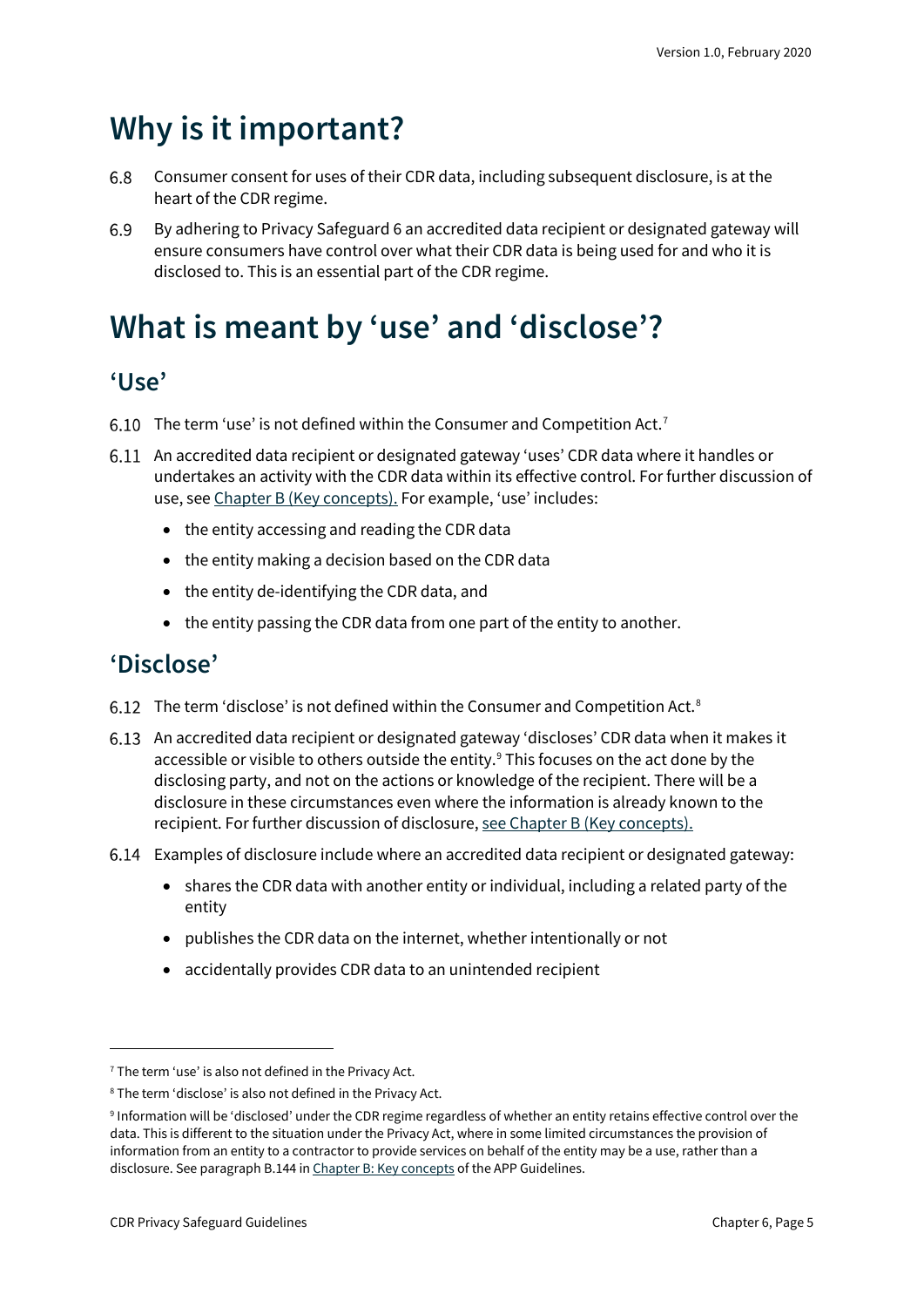## <span id="page-4-0"></span>**Why is it important?**

- 6.8 Consumer consent for uses of their CDR data, including subsequent disclosure, is at the heart of the CDR regime.
- 6.9 By adhering to Privacy Safeguard 6 an accredited data recipient or designated gateway will ensure consumers have control over what their CDR data is being used for and who it is disclosed to. This is an essential part of the CDR regime.

## <span id="page-4-1"></span>**What is meant by 'use' and 'disclose'?**

### <span id="page-4-2"></span>**'Use'**

- 6.10 The term 'use' is not defined within the Consumer and Competition Act.<sup>[7](#page-4-4)</sup>
- An accredited data recipient or designated gateway 'uses' CDR data where it handles or undertakes an activity with the CDR data within its effective control. For further discussion of use, see [Chapter B \(Key concepts\).](https://www.oaic.gov.au/consumer-data-right/cdr-privacy-safeguard-guidelines/chapter-b-key-concepts) For example, 'use' includes:
	- the entity accessing and reading the CDR data
	- the entity making a decision based on the CDR data
	- the entity de-identifying the CDR data, and
	- the entity passing the CDR data from one part of the entity to another.

### <span id="page-4-3"></span>**'Disclose'**

- 6.12 The term 'disclose' is not defined within the Consumer and Competition Act. $8$
- An accredited data recipient or designated gateway 'discloses' CDR data when it makes it accessible or visible to others outside the entity.<sup>[9](#page-4-6)</sup> This focuses on the act done by the disclosing party, and not on the actions or knowledge of the recipient. There will be a disclosure in these circumstances even where the information is already known to the recipient. For further discussion of disclosure[, see Chapter B \(Key concepts\).](https://www.oaic.gov.au/consumer-data-right/cdr-privacy-safeguard-guidelines/chapter-b-key-concepts)
- Examples of disclosure include where an accredited data recipient or designated gateway:
	- shares the CDR data with another entity or individual, including a related party of the entity
	- publishes the CDR data on the internet, whether intentionally or not
	- accidentally provides CDR data to an unintended recipient

<span id="page-4-4"></span> $7$  The term 'use' is also not defined in the Privacy Act.

<span id="page-4-5"></span><sup>8</sup> The term 'disclose' is also not defined in the Privacy Act.

<span id="page-4-6"></span><sup>9</sup> Information will be 'disclosed' under the CDR regime regardless of whether an entity retains effective control over the data. This is different to the situation under the Privacy Act, where in some limited circumstances the provision of information from an entity to a contractor to provide services on behalf of the entity may be a use, rather than a disclosure. See paragraph B.144 in [Chapter B: Key concepts](https://www.oaic.gov.au/privacy/australian-privacy-principles-guidelines/chapter-b-key-concepts/#use) of the APP Guidelines.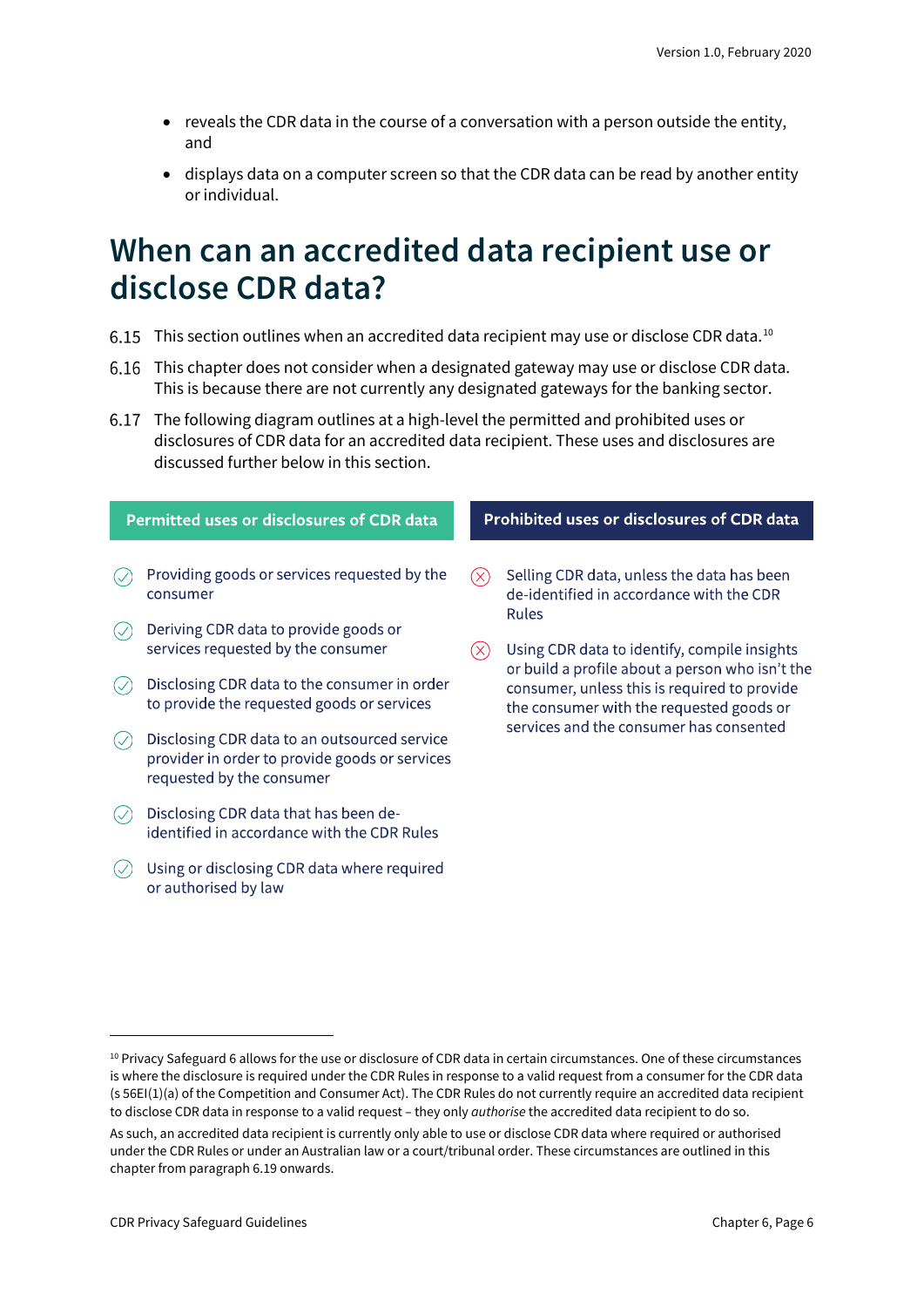- reveals the CDR data in the course of a conversation with a person outside the entity, and
- displays data on a computer screen so that the CDR data can be read by another entity or individual.

## <span id="page-5-0"></span>**When can an accredited data recipient use or disclose CDR data?**

- 6.15 This section outlines when an accredited data recipient may use or disclose CDR data.<sup>[10](#page-5-1)</sup>
- This chapter does not consider when a designated gateway may use or disclose CDR data. This is because there are not currently any designated gateways for the banking sector.
- The following diagram outlines at a high-level the permitted and prohibited uses or disclosures of CDR data for an accredited data recipient. These uses and disclosures are discussed further below in this section.

|  | Permitted uses or disclosures of CDR data |
|--|-------------------------------------------|
|  |                                           |

- $\oslash$  Providing goods or services requested by the consumer
- $\oslash$  Deriving CDR data to provide goods or services requested by the consumer
- $\circledcirc$  Disclosing CDR data to the consumer in order to provide the requested goods or services
- $\circledcirc$  Disclosing CDR data to an outsourced service provider in order to provide goods or services requested by the consumer
- $\circledcirc$  Disclosing CDR data that has been deidentified in accordance with the CDR Rules
- $\circledcirc$  Using or disclosing CDR data where required or authorised by law

#### Prohibited uses or disclosures of CDR data

- Selling CDR data, unless the data has been ′⊗ de-identified in accordance with the CDR **Rules**
- $(\times)$  Using CDR data to identify, compile insights or build a profile about a person who isn't the consumer, unless this is required to provide the consumer with the requested goods or services and the consumer has consented

<span id="page-5-1"></span><sup>10</sup> Privacy Safeguard 6 allows for the use or disclosure of CDR data in certain circumstances. One of these circumstances is where the disclosure is required under the CDR Rules in response to a valid request from a consumer for the CDR data (s 56EI(1)(a) of the Competition and Consumer Act). The CDR Rules do not currently require an accredited data recipient to disclose CDR data in response to a valid request – they only *authorise* the accredited data recipient to do so.

As such, an accredited data recipient is currently only able to use or disclose CDR data where required or authorised under the CDR Rules or under an Australian law or a court/tribunal order. These circumstances are outlined in this chapter from paragraph 6.19 onwards.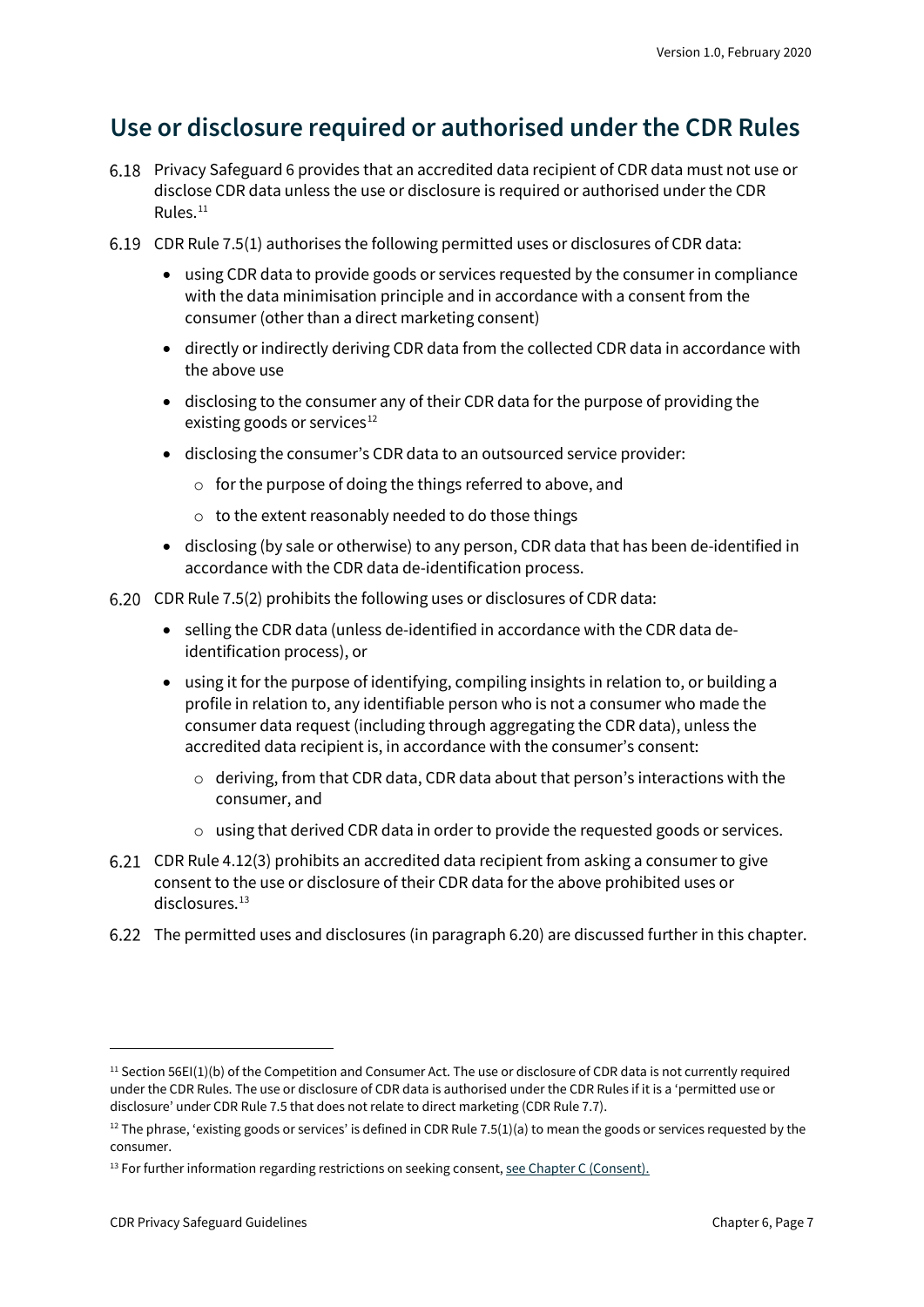## <span id="page-6-0"></span>**Use or disclosure required or authorised under the CDR Rules**

- Privacy Safeguard 6 provides that an accredited data recipient of CDR data must not use or disclose CDR data unless the use or disclosure is required or authorised under the CDR Rules. $11$
- CDR Rule 7.5(1) authorises the following permitted uses or disclosures of CDR data:
	- using CDR data to provide goods or services requested by the consumer in compliance with the data minimisation principle and in accordance with a consent from the consumer (other than a direct marketing consent)
	- directly or indirectly deriving CDR data from the collected CDR data in accordance with the above use
	- disclosing to the consumer any of their CDR data for the purpose of providing the existing goods or services $12$
	- disclosing the consumer's CDR data to an outsourced service provider:
		- o for the purpose of doing the things referred to above, and
		- o to the extent reasonably needed to do those things
	- disclosing (by sale or otherwise) to any person, CDR data that has been de-identified in accordance with the CDR data de-identification process.
- CDR Rule 7.5(2) prohibits the following uses or disclosures of CDR data:
	- selling the CDR data (unless de-identified in accordance with the CDR data deidentification process), or
	- using it for the purpose of identifying, compiling insights in relation to, or building a profile in relation to, any identifiable person who is not a consumer who made the consumer data request (including through aggregating the CDR data), unless the accredited data recipient is, in accordance with the consumer's consent:
		- $\circ$  deriving, from that CDR data, CDR data about that person's interactions with the consumer, and
		- o using that derived CDR data in order to provide the requested goods or services.
- CDR Rule 4.12(3) prohibits an accredited data recipient from asking a consumer to give consent to the use or disclosure of their CDR data for the above prohibited uses or disclosures.<sup>[13](#page-6-3)</sup>
- The permitted uses and disclosures (in paragraph 6.20) are discussed further in this chapter.

<span id="page-6-1"></span> $11$  Section 56EI(1)(b) of the Competition and Consumer Act. The use or disclosure of CDR data is not currently required under the CDR Rules. The use or disclosure of CDR data is authorised under the CDR Rules if it is a 'permitted use or disclosure' under CDR Rule 7.5 that does not relate to direct marketing (CDR Rule 7.7).

<span id="page-6-2"></span> $12$  The phrase, 'existing goods or services' is defined in CDR Rule 7.5(1)(a) to mean the goods or services requested by the consumer.

<span id="page-6-3"></span><sup>&</sup>lt;sup>13</sup> For further information regarding restrictions on seeking consent[, see Chapter C \(Consent\).](https://www.oaic.gov.au/consumer-data-right/cdr-privacy-safeguard-guidelines/chapter-c-consent-the-basis-for-collecting-and-using-cdr-data)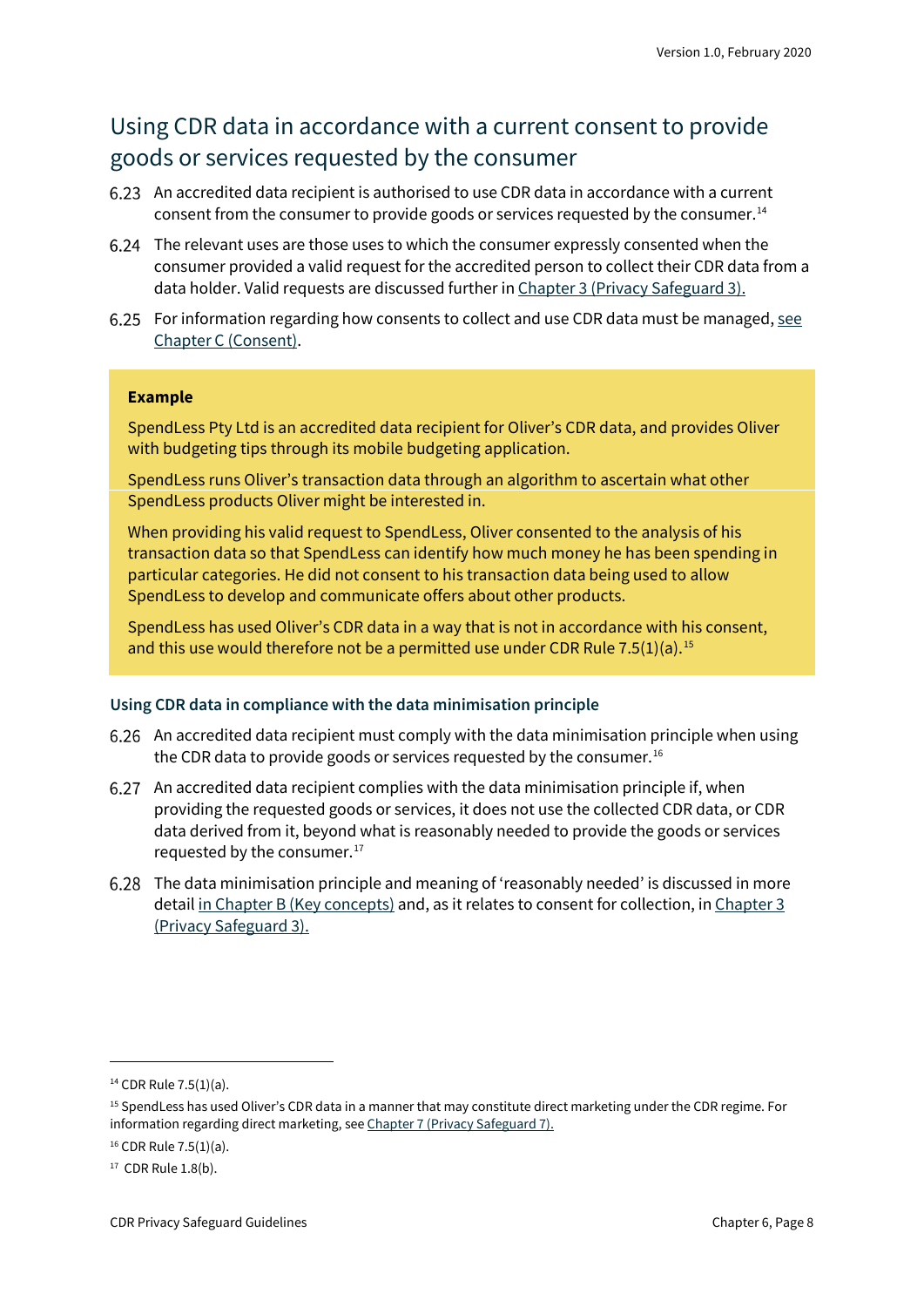### Using CDR data in accordance with a current consent to provide goods or services requested by the consumer

- An accredited data recipient is authorised to use CDR data in accordance with a current consent from the consumer to provide goods or services requested by the consumer.[14](#page-7-0)
- The relevant uses are those uses to which the consumer expressly consented when the consumer provided a valid request for the accredited person to collect their CDR data from a data holder. Valid requests are discussed further in [Chapter 3 \(Privacy Safeguard 3\).](https://www.oaic.gov.au/consumer-data-right/cdr-privacy-safeguard-guidelines/chapter-3-privacy-safeguard-3-seeking-to-collect-cdr-data-from-cdr-participants)
- 6.25 For information regarding how consents to collect and use CDR data must be managed, see [Chapter C \(Consent\).](https://www.oaic.gov.au/consumer-data-right/cdr-privacy-safeguard-guidelines/chapter-c-consent-the-basis-for-collecting-and-using-cdr-data)

#### **Example**

SpendLess Pty Ltd is an accredited data recipient for Oliver's CDR data, and provides Oliver with budgeting tips through its mobile budgeting application.

SpendLess runs Oliver's transaction data through an algorithm to ascertain what other SpendLess products Oliver might be interested in.

When providing his valid request to SpendLess, Oliver consented to the analysis of his transaction data so that SpendLess can identify how much money he has been spending in particular categories. He did not consent to his transaction data being used to allow SpendLess to develop and communicate offers about other products.

SpendLess has used Oliver's CDR data in a way that is not in accordance with his consent, and this use would therefore not be a permitted use under CDR Rule 7.5(1)(a). [15](#page-7-1)

#### **Using CDR data in compliance with the data minimisation principle**

- An accredited data recipient must comply with the data minimisation principle when using the CDR data to provide goods or services requested by the consumer.<sup>[16](#page-7-2)</sup>
- An accredited data recipient complies with the data minimisation principle if, when providing the requested goods or services, it does not use the collected CDR data, or CDR data derived from it, beyond what is reasonably needed to provide the goods or services requested by the consumer.<sup>[17](#page-7-3)</sup>
- The data minimisation principle and meaning of 'reasonably needed' is discussed in more detail [in Chapter B \(Key concepts\)](https://www.oaic.gov.au/consumer-data-right/cdr-privacy-safeguard-guidelines/chapter-b-key-concepts) and, as it relates to consent for collection, in Chapter 3 [\(Privacy Safeguard 3\).](https://www.oaic.gov.au/consumer-data-right/cdr-privacy-safeguard-guidelhttps:/www.oaic.gov.au/consumer-data-right/cdr-privacy-safeguard-guidelines/chapter-3-privacy-safeguard-3-seeking-to-collect-cdr-data-from-cdr-participants)

<span id="page-7-0"></span><sup>14</sup> CDR Rule 7.5(1)(a).

<span id="page-7-1"></span><sup>15</sup> SpendLess has used Oliver's CDR data in a manner that may constitute direct marketing under the CDR regime. For information regarding direct marketing, see [Chapter 7 \(Privacy Safeguard 7\).](https://www.oaic.gov.au/consumer-data-right/cdr-privacy-safeguard-guidelines/chapter-3-https:/www.oaic.gov.au/consumer-data-right/cdr-privacy-safeguard-guidelines/chapter-7-privacy-safeguard-7-use-or-disclosure-of-cdr-data-for-direct-marketing-by-accredited-data-recipients-or-designated-gateways)

<span id="page-7-2"></span><sup>16</sup> CDR Rule 7.5(1)(a).

<span id="page-7-3"></span><sup>17</sup> CDR Rule 1.8(b).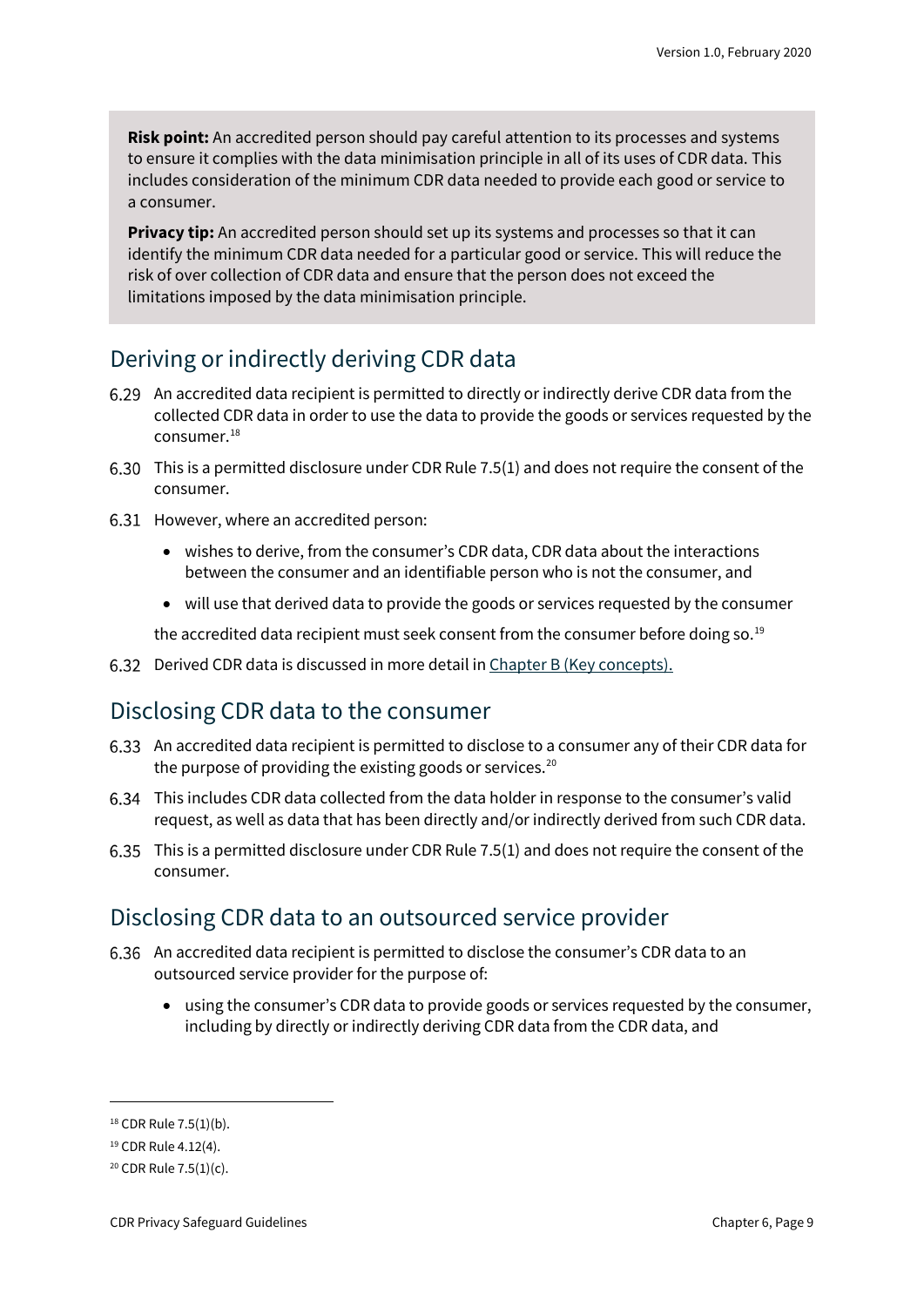**Risk point:** An accredited person should pay careful attention to its processes and systems to ensure it complies with the data minimisation principle in all of its uses of CDR data. This includes consideration of the minimum CDR data needed to provide each good or service to a consumer.

**Privacy tip:** An accredited person should set up its systems and processes so that it can identify the minimum CDR data needed for a particular good or service. This will reduce the risk of over collection of CDR data and ensure that the person does not exceed the limitations imposed by the data minimisation principle.

### Deriving or indirectly deriving CDR data

- An accredited data recipient is permitted to directly or indirectly derive CDR data from the collected CDR data in order to use the data to provide the goods or services requested by the consumer. [18](#page-8-0)
- This is a permitted disclosure under CDR Rule 7.5(1) and does not require the consent of the consumer.
- 6.31 However, where an accredited person:
	- wishes to derive, from the consumer's CDR data, CDR data about the interactions between the consumer and an identifiable person who is not the consumer, and
	- will use that derived data to provide the goods or services requested by the consumer

the accredited data recipient must seek consent from the consumer before doing so.<sup>[19](#page-8-1)</sup>

6.32 Derived CDR data is discussed in more detail i[n Chapter B \(Key concepts\).](https://www.oaic.gov.au/consumer-data-right/cdr-privacy-safeguard-guidelines/chapter-b-key-concepts)

### Disclosing CDR data to the consumer

- An accredited data recipient is permitted to disclose to a consumer any of their CDR data for the purpose of providing the existing goods or services. [20](#page-8-2)
- This includes CDR data collected from the data holder in response to the consumer's valid request, as well as data that has been directly and/or indirectly derived from such CDR data.
- This is a permitted disclosure under CDR Rule 7.5(1) and does not require the consent of the consumer.

### Disclosing CDR data to an outsourced service provider

- An accredited data recipient is permitted to disclose the consumer's CDR data to an outsourced service provider for the purpose of:
	- using the consumer's CDR data to provide goods or services requested by the consumer, including by directly or indirectly deriving CDR data from the CDR data, and

<span id="page-8-0"></span><sup>18</sup> CDR Rule 7.5(1)(b).

<span id="page-8-1"></span><sup>19</sup> CDR Rule 4.12(4).

<span id="page-8-2"></span> $20$  CDR Rule 7.5(1)(c).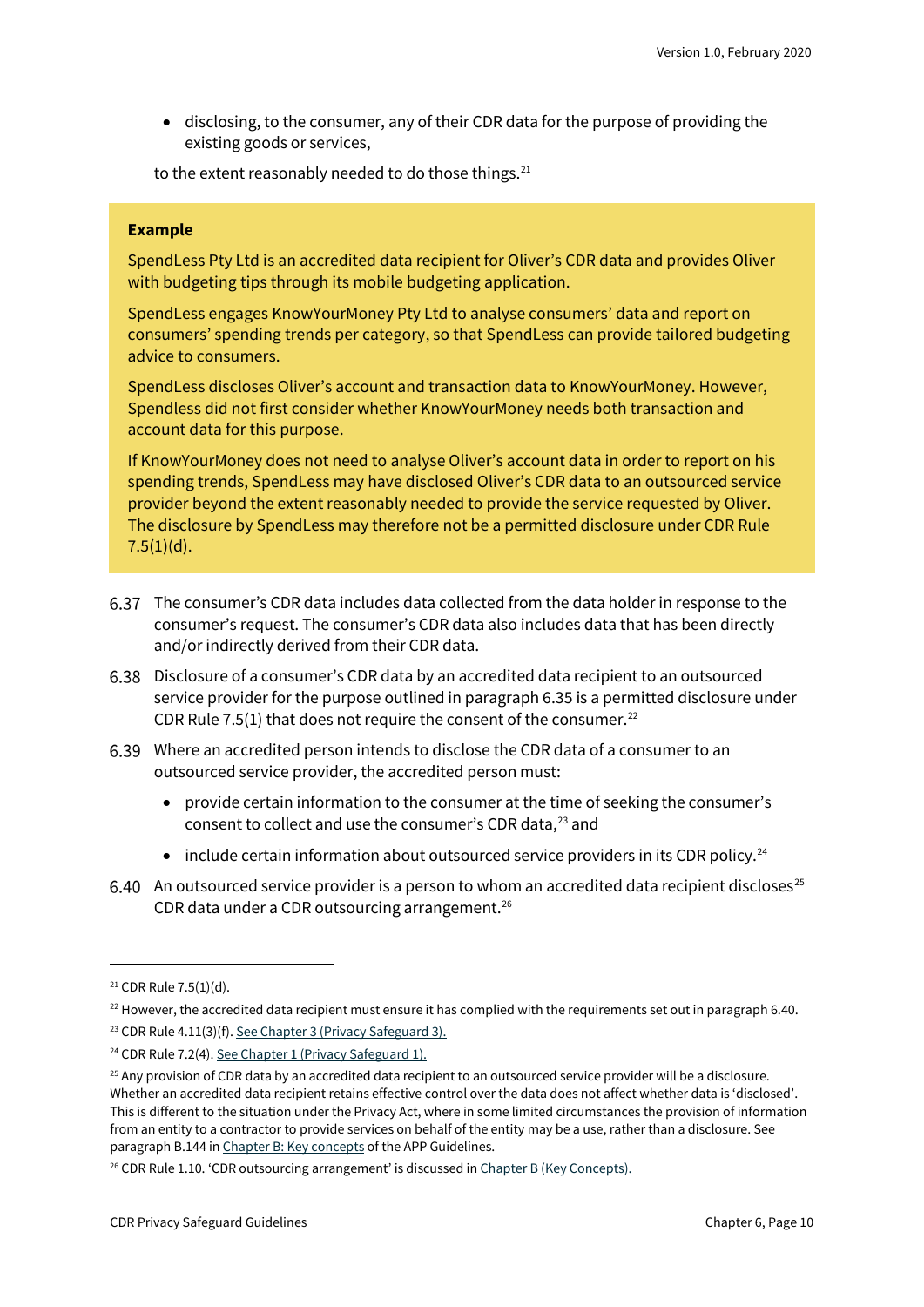• disclosing, to the consumer, any of their CDR data for the purpose of providing the existing goods or services,

to the extent reasonably needed to do those things. [21](#page-9-0)

#### **Example**

SpendLess Pty Ltd is an accredited data recipient for Oliver's CDR data and provides Oliver with budgeting tips through its mobile budgeting application.

SpendLess engages KnowYourMoney Pty Ltd to analyse consumers' data and report on consumers' spending trends per category, so that SpendLess can provide tailored budgeting advice to consumers.

SpendLess discloses Oliver's account and transaction data to KnowYourMoney. However, Spendless did not first consider whether KnowYourMoney needs both transaction and account data for this purpose.

If KnowYourMoney does not need to analyse Oliver's account data in order to report on his spending trends, SpendLess may have disclosed Oliver's CDR data to an outsourced service provider beyond the extent reasonably needed to provide the service requested by Oliver. The disclosure by SpendLess may therefore not be a permitted disclosure under CDR Rule  $7.5(1)(d)$ .

- The consumer's CDR data includes data collected from the data holder in response to the consumer's request. The consumer's CDR data also includes data that has been directly and/or indirectly derived from their CDR data.
- Disclosure of a consumer's CDR data by an accredited data recipient to an outsourced service provider for the purpose outlined in paragraph 6.35 is a permitted disclosure under CDR Rule 7.5(1) that does not require the consent of the consumer.<sup>[22](#page-9-1)</sup>
- Where an accredited person intends to disclose the CDR data of a consumer to an outsourced service provider, the accredited person must:
	- provide certain information to the consumer at the time of seeking the consumer's consent to collect and use the consumer's CDR data, [23](#page-9-2) and
	- include certain information about outsourced service providers in its CDR policy.<sup>[24](#page-9-3)</sup>
- 6.40 An outsourced service provider is a person to whom an accredited data recipient discloses<sup>[25](#page-9-4)</sup> CDR data under a CDR outsourcing arrangement. $26$

<span id="page-9-0"></span><sup>21</sup> CDR Rule 7.5(1)(d).

<span id="page-9-1"></span> $22$  However, the accredited data recipient must ensure it has complied with the requirements set out in paragraph 6.40.

<span id="page-9-2"></span><sup>23</sup> CDR Rule 4.11(3)(f)[. See Chapter 3 \(Privacy Safeguard 3\).](https://www.oaic.gov.au/consumer-data-right/cdr-privacy-safeguard-guidelines/chapter-3-privacy-safeguard-3-seeking-to-collect-cdr-data-from-cdr-participants)

<span id="page-9-3"></span><sup>&</sup>lt;sup>24</sup> CDR Rule 7.2(4)[. See Chapter 1 \(Privacy Safeguard 1\).](https://www.oaic.gov.au/consumer-data-right/cdr-privacy-safeguard-guidelines/chapter-1-privacy-safeguard-1-open-and-transparent-management-of-cdr-data)

<span id="page-9-4"></span> $25$  Any provision of CDR data by an accredited data recipient to an outsourced service provider will be a disclosure. Whether an accredited data recipient retains effective control over the data does not affect whether data is 'disclosed'. This is different to the situation under the Privacy Act, where in some limited circumstances the provision of information from an entity to a contractor to provide services on behalf of the entity may be a use, rather than a disclosure. See paragraph B.144 i[n Chapter B: Key concepts](https://www.oaic.gov.au/privacy/australian-privacy-principles-guidelines/chapter-b-key-concepts/#use) of the APP Guidelines.

<span id="page-9-5"></span> $26$  CDR Rule 1.10. 'CDR outsourcing arrangement' is discussed i[n Chapter B \(Key Concepts\).](https://www.oaic.gov.au/consumer-data-right/cdr-privacy-safeguard-guidelines/chapter-b-key-concepts)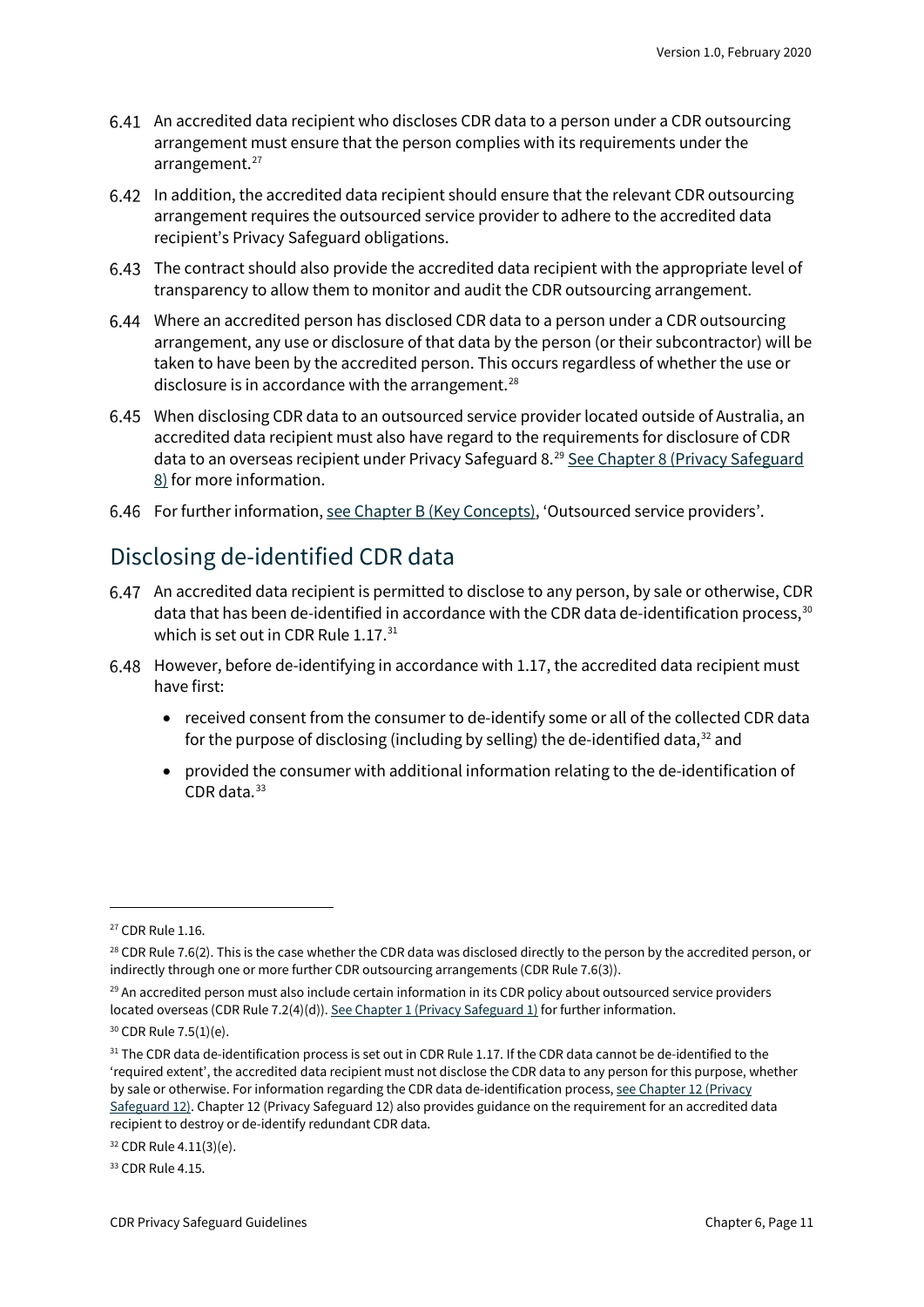- An accredited data recipient who discloses CDR data to a person under a CDR outsourcing arrangement must ensure that the person complies with its requirements under the arrangement. $27$
- In addition, the accredited data recipient should ensure that the relevant CDR outsourcing arrangement requires the outsourced service provider to adhere to the accredited data recipient's Privacy Safeguard obligations.
- The contract should also provide the accredited data recipient with the appropriate level of transparency to allow them to monitor and audit the CDR outsourcing arrangement.
- Where an accredited person has disclosed CDR data to a person under a CDR outsourcing arrangement, any use or disclosure of that data by the person (or their subcontractor) will be taken to have been by the accredited person. This occurs regardless of whether the use or disclosure is in accordance with the arrangement. $^{28}$  $^{28}$  $^{28}$
- When disclosing CDR data to an outsourced service provider located outside of Australia, an accredited data recipient must also have regard to the requirements for disclosure of CDR data to an overseas recipient under Privacy Safeguard 8.<sup>[29](#page-10-2)</sup> See Chapter 8 (Privacy Safeguard [8\)](https://www.oaic.gov.au/consumer-data-right/cdr-privacy-safeguard-guidelines/chapter-8-privacy-safeguard-8-overseas-disclosure-of-cdr-data-by-accredited-data-recipients) for more information.
- 6.46 For further information[, see Chapter B \(Key Concepts\),](https://www.oaic.gov.au/consumer-data-right/cdr-privacy-safeguard-guidelines/chapter-b-key-concepts) 'Outsourced service providers'.

## Disclosing de-identified CDR data

- An accredited data recipient is permitted to disclose to any person, by sale or otherwise, CDR data that has been de-identified in accordance with the CDR data de-identification process,  $30$ which is set out in CDR Rule 1.17.<sup>[31](#page-10-4)</sup>
- 6.48 However, before de-identifying in accordance with 1.17, the accredited data recipient must have first:
	- received consent from the consumer to de-identify some or all of the collected CDR data for the purpose of disclosing (including by selling) the de-identified data, $^{32}$  $^{32}$  $^{32}$  and
	- provided the consumer with additional information relating to the de-identification of CDR data. [33](#page-10-6)

<span id="page-10-5"></span><sup>32</sup> CDR Rule 4.11(3)(e).

<span id="page-10-6"></span><sup>33</sup> CDR Rule 4.15.

<span id="page-10-0"></span><sup>27</sup> CDR Rule 1.16.

<span id="page-10-1"></span><sup>&</sup>lt;sup>28</sup> CDR Rule 7.6(2). This is the case whether the CDR data was disclosed directly to the person by the accredited person, or indirectly through one or more further CDR outsourcing arrangements (CDR Rule 7.6(3)).

<span id="page-10-2"></span><sup>&</sup>lt;sup>29</sup> An accredited person must also include certain information in its CDR policy about outsourced service providers located overseas (CDR Rule 7.2(4)(d))[. See Chapter 1 \(Privacy Safeguard 1\)](https://www.oaic.gov.au/consumer-data-right/cdr-privacy-safeguard-guidelines/chapter-1-privacy-safeguard-1-open-and-transparent-management-of-cdr-data) for further information.

<span id="page-10-3"></span><sup>30</sup> CDR Rule 7.5(1)(e).

<span id="page-10-4"></span> $31$  The CDR data de-identification process is set out in CDR Rule 1.17. If the CDR data cannot be de-identified to the 'required extent', the accredited data recipient must not disclose the CDR data to any person for this purpose, whether by sale or otherwise. For information regarding the CDR data de-identification process, see Chapter 12 (Privacy [Safeguard 12\).](https://www.oaic.gov.au/consumer-data-right/cdr-privacy-safeguard-guidelines/chapter-12-privacy-safeguard-12-security-of-cdr-data-and-destruction-of-de-identification-of-redundant-cdr-data) Chapter 12 (Privacy Safeguard 12) also provides guidance on the requirement for an accredited data recipient to destroy or de-identify redundant CDR data.